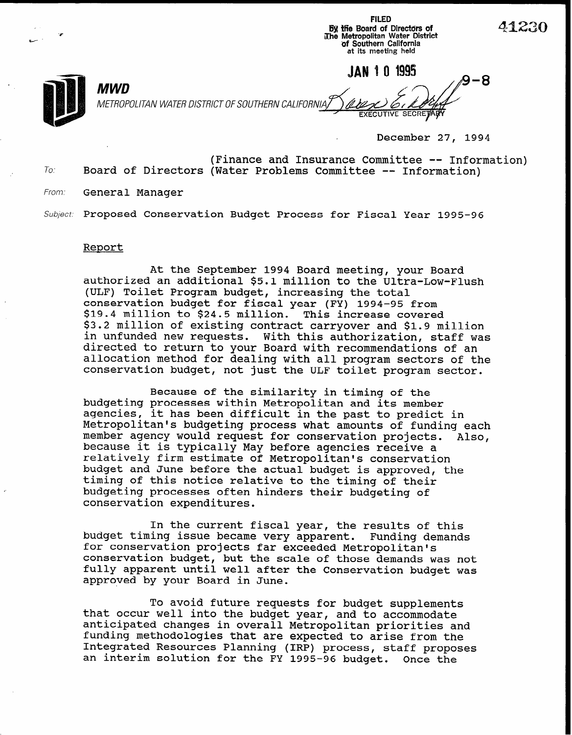FILED By the Board of Directors of<br>The Metropolitan Water District<br>The Metropolitan Water District of Southern California at its meeting held

MWD  $\sim 8.8$ METROPOLITAN WATER DISTRICT OF SOUTHERN CALIFORNIA, EXECUTIVE SECRE

December 27, 1994

(Finance and Insurance Committee -- Information) To. Board of Directors (Water Problems Committee -- Information)

From: General Manager

Subject: Proposed Conservation Budget Process for Fiscal Year 1995-96

## Report

At the September 1994 Board meeting, your Board authorized an additional \$5.1 million to the Ultra-Low-Flush (ULF) Toilet Program budget, increasing the total conservation budget for fiscal year (FY) 1994-95 from \$19.4 million to \$24.5 million. This increase covered \$3.2 million of existing contract carryover and \$1.9 million in unfunded new requests. With this authorization, staff was directed to return to your Board with recommendations of an allocation method for dealing with all program sectors of the conservation budget, not just the ULF toilet program sector.

Because of the similarity in timing of the budgeting processes within Metropolitan and its member agencies, it has been difficult in the past to predict in Metropolitan's budgeting process what amounts of funding each member agency would request for conservation projects. Also, because it is typically May before agencies receive a relatively firm estimate of Metropolitan's conservation budget and June before the actual budget is approved, the timing of this notice relative to the timing of their budgeting processes often hinders their budgeting of conservation expenditures.

In the current fiscal year, the results of this budget timing issue became very apparent. Funding demands for conservation projects far exceeded Metropolitan's conservation budget, but the scale of those demands was not fully apparent until well after the Conservation budget was approved by your Board in June.

To avoid future requests for budget supplements that occur well into the budget year, and to accommodate anticipated changes in overall Metropolitan priorities and funding methodologies that are expected to arise from the Integrated Resources Planning (IRP) process, staff proposes an interim solution for the FY 1995-96 budget. Once the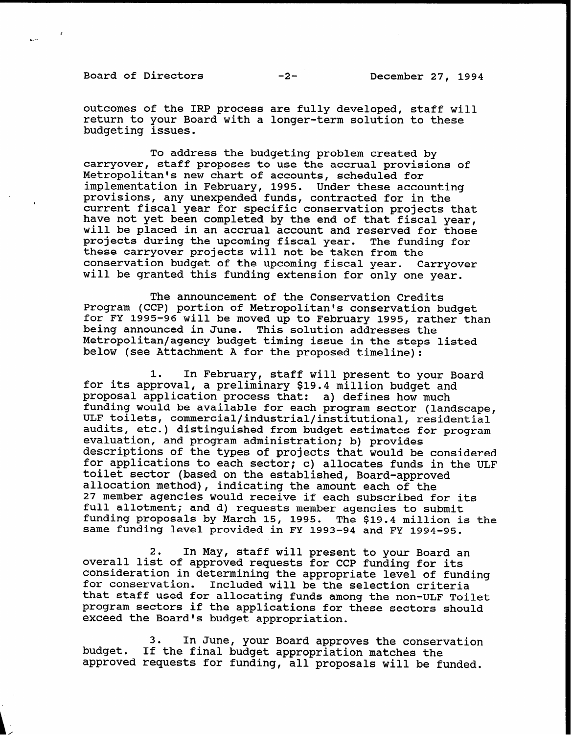Board of Directors -2-<br>
-2-<br>
December 27, 1994

.\_-

outcomes of the IRP process are fully developed, staff will return to your Board with a longer-term solution to these budgeting issues.

To address the budgeting problem created by carryover, staff proposes to use the accrual provisions of Metropolitan's new chart of accounts, scheduled for implementation in February, 1995. Under these accounti provisions, any unexpended funds, contracted for in the current fiscal year for specific conservation projects that have not yet been completed by the end of that fiscal year, will be placed in an accrual account and reserved for those projects during the upcoming fiscal year. The funding for these carryover projects will not be taken from the conservation budget of the upcoming fiscal year. Carryover will be granted this funding extension for only one year.

The announcement of the Conservation Credits Program (CCP) portion of Metropolitan's conservation budget for FY 1995-96 will be moved up to February 1995, rather than being announced in June. This solution addresses the Metropolitan/agency budget timing issue in the steps listed below (see Attachment A for the proposed timeline):

1. In February, staff will present to your Board for its approval, a preliminary \$19.4 million budget and proposal application process that: a) defines how much funding would be available for each program sector (landscape, ULF toilets, commercial/industrial/institutional, residential audits, etc.) distinguished from budget estimates for program evaluation, and program administration; b) provides descriptions of the types of projects that would be considered for applications to each sector; c) allocates funds in the ULF toilet sector (based on the established, Board-approved allocation method), indicating the amount each of the 27 member agencies would receive if each subscribed for its full allotment; and d) requests member agencies to submit funding proposals by March 15, 1995. The \$19.4 million is the same funding level provided in FY 1993-94 and FY 1994-95.

2. In May, staff will present to your Board an overall list of approved requests for CCP funding for its consideration in determining the appropriate level of funding<br>for conservation. Included will be the selection criteria Included will be the selection criteria that staff used for allocating funds among the non-ULF Toilet program sectors if the applications for these sectors should exceed the Board's budget appropriation.

3. In June, your Board approves the conservation budget. If the final budget appropriation matches the approved requests for funding, all proposals will be funded.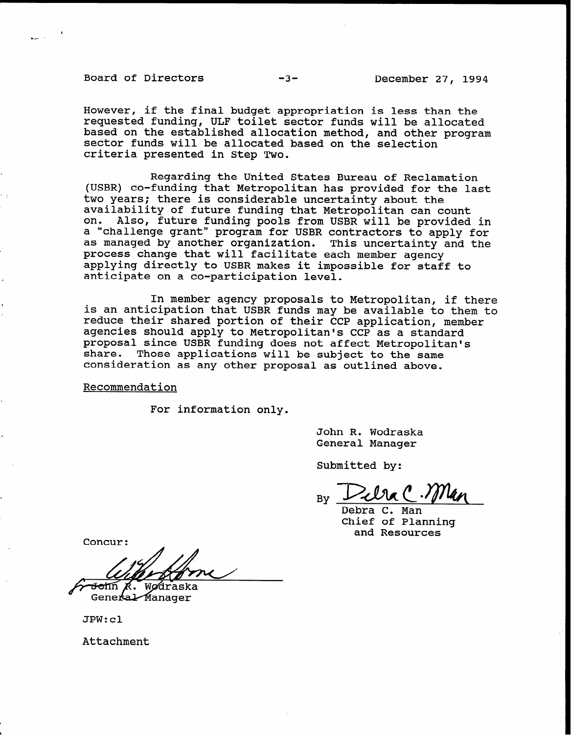Board of Directors -3- December 27, 1994

However, if the final budget appropriation is less than the requested funding, ULF toilet sector funds will be allocated based on the established allocation method, and other program sector funds will be allocated based on the selection criteria presented in Step Two.

Regarding the United States Bureau of Reclamation (USBR) co-funding that Metropolitan has provided for the last two years; there is considerable uncertainty about the availability of future funding that Metropolitan can count on. Also, future funding pools from USBR will be provided in a "challenge grant" program for USBR contractors to apply for as managed by another organization. This uncertainty and the process change that will facilitate each member agency applying directly to USBR makes it impossible for staff to anticipate on a co-participation level.

In member agency proposals to Metropolitan, if there is an anticipation that USBR funds may be available to them to reduce their shared portion of their CCP application, member agencies should apply to Metropolitan's CCP as a standard proposal since USBR funding does not affect Metropolitan's share. Those applications will be subject to the same consideration as any other proposal as outlined above.

Recommendation

For information only.

John R. Wodraska General Manager

Submitted by:

By

Debra C. Man Chief of Planning and Resources

Concur:

<del>Jo</del>hn *K*. wødraska

General Manager

JPW:cl

Attachment